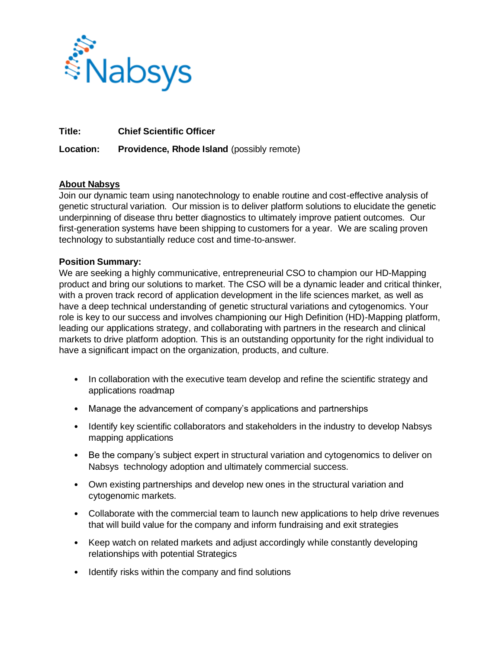

**Title: Chief Scientific Officer** 

**Location: Providence, Rhode Island** (possibly remote)

## **About Nabsys**

Join our dynamic team using nanotechnology to enable routine and cost-effective analysis of genetic structural variation. Our mission is to deliver platform solutions to elucidate the genetic underpinning of disease thru better diagnostics to ultimately improve patient outcomes. Our first-generation systems have been shipping to customers for a year. We are scaling proven technology to substantially reduce cost and time-to-answer.

## **Position Summary:**

We are seeking a highly communicative, entrepreneurial CSO to champion our HD-Mapping product and bring our solutions to market. The CSO will be a dynamic leader and critical thinker, with a proven track record of application development in the life sciences market, as well as have a deep technical understanding of genetic structural variations and cytogenomics. Your role is key to our success and involves championing our High Definition (HD)-Mapping platform, leading our applications strategy, and collaborating with partners in the research and clinical markets to drive platform adoption. This is an outstanding opportunity for the right individual to have a significant impact on the organization, products, and culture.

- In collaboration with the executive team develop and refine the scientific strategy and applications roadmap
- Manage the advancement of company's applications and partnerships
- Identify key scientific collaborators and stakeholders in the industry to develop Nabsys mapping applications
- Be the company's subject expert in structural variation and cytogenomics to deliver on Nabsys technology adoption and ultimately commercial success.
- Own existing partnerships and develop new ones in the structural variation and cytogenomic markets.
- Collaborate with the commercial team to launch new applications to help drive revenues that will build value for the company and inform fundraising and exit strategies
- Keep watch on related markets and adjust accordingly while constantly developing relationships with potential Strategics
- Identify risks within the company and find solutions